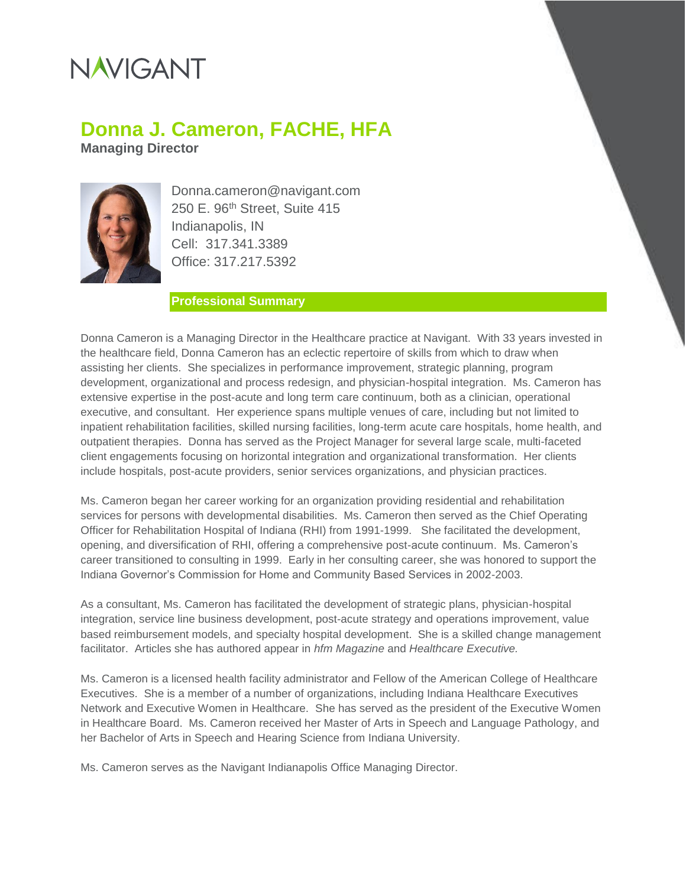# **NAVIGANT**

### **Donna J. Cameron, FACHE, HFA**

**Managing Director**



Donna.cameron@navigant.com 250 E. 96<sup>th</sup> Street, Suite 415 Indianapolis, IN Cell: 317.341.3389 Office: 317.217.5392

#### **Professional Summary**

Donna Cameron is a Managing Director in the Healthcare practice at Navigant. With 33 years invested in the healthcare field, Donna Cameron has an eclectic repertoire of skills from which to draw when assisting her clients. She specializes in performance improvement, strategic planning, program development, organizational and process redesign, and physician-hospital integration. Ms. Cameron has extensive expertise in the post-acute and long term care continuum, both as a clinician, operational executive, and consultant. Her experience spans multiple venues of care, including but not limited to inpatient rehabilitation facilities, skilled nursing facilities, long-term acute care hospitals, home health, and outpatient therapies. Donna has served as the Project Manager for several large scale, multi-faceted client engagements focusing on horizontal integration and organizational transformation. Her clients include hospitals, post-acute providers, senior services organizations, and physician practices.

Ms. Cameron began her career working for an organization providing residential and rehabilitation services for persons with developmental disabilities. Ms. Cameron then served as the Chief Operating Officer for Rehabilitation Hospital of Indiana (RHI) from 1991-1999. She facilitated the development, opening, and diversification of RHI, offering a comprehensive post-acute continuum. Ms. Cameron's career transitioned to consulting in 1999. Early in her consulting career, she was honored to support the Indiana Governor's Commission for Home and Community Based Services in 2002-2003.

As a consultant, Ms. Cameron has facilitated the development of strategic plans, physician-hospital integration, service line business development, post-acute strategy and operations improvement, value based reimbursement models, and specialty hospital development. She is a skilled change management facilitator. Articles she has authored appear in *hfm Magazine* and *Healthcare Executive.*

Ms. Cameron is a licensed health facility administrator and Fellow of the American College of Healthcare Executives. She is a member of a number of organizations, including Indiana Healthcare Executives Network and Executive Women in Healthcare. She has served as the president of the Executive Women in Healthcare Board. Ms. Cameron received her Master of Arts in Speech and Language Pathology, and her Bachelor of Arts in Speech and Hearing Science from Indiana University.

Ms. Cameron serves as the Navigant Indianapolis Office Managing Director.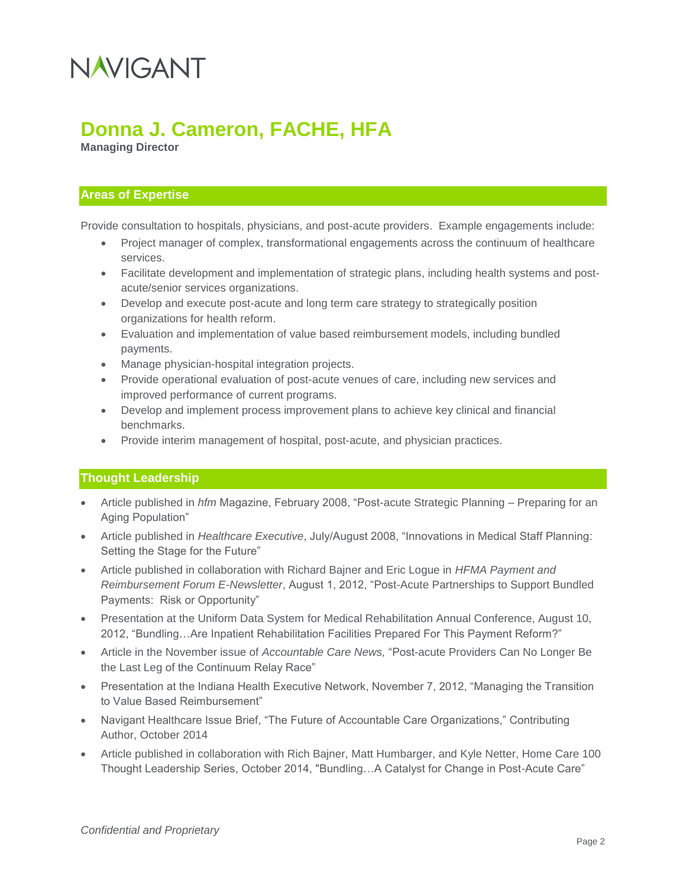# NAVIGANT

### **Donna J. Cameron, FACHE, HFA**

**Managing Director**

#### **Areas of Expertise**

Provide consultation to hospitals, physicians, and post-acute providers. Example engagements include:

- Project manager of complex, transformational engagements across the continuum of healthcare services.
- Facilitate development and implementation of strategic plans, including health systems and postacute/senior services organizations.
- Develop and execute post-acute and long term care strategy to strategically position organizations for health reform.
- Evaluation and implementation of value based reimbursement models, including bundled payments.
- Manage physician-hospital integration projects.
- Provide operational evaluation of post-acute venues of care, including new services and improved performance of current programs.
- Develop and implement process improvement plans to achieve key clinical and financial benchmarks.
- Provide interim management of hospital, post-acute, and physician practices.

#### **Thought Leadership**

- Article published in *hfm* Magazine, February 2008, "Post-acute Strategic Planning Preparing for an Aging Population"
- Article published in *Healthcare Executive*, July/August 2008, "Innovations in Medical Staff Planning: Setting the Stage for the Future"
- Article published in collaboration with Richard Bajner and Eric Logue in *HFMA Payment and Reimbursement Forum E-Newsletter*, August 1, 2012, "Post-Acute Partnerships to Support Bundled Payments: Risk or Opportunity"
- Presentation at the Uniform Data System for Medical Rehabilitation Annual Conference, August 10, 2012, "Bundling…Are Inpatient Rehabilitation Facilities Prepared For This Payment Reform?"
- Article in the November issue of *Accountable Care News,* "Post-acute Providers Can No Longer Be the Last Leg of the Continuum Relay Race"
- Presentation at the Indiana Health Executive Network, November 7, 2012, "Managing the Transition to Value Based Reimbursement"
- Navigant Healthcare Issue Brief, "The Future of Accountable Care Organizations," Contributing Author, October 2014
- Article published in collaboration with Rich Bajner, Matt Humbarger, and Kyle Netter, Home Care 100 Thought Leadership Series, October 2014, "Bundling…A Catalyst for Change in Post-Acute Care"